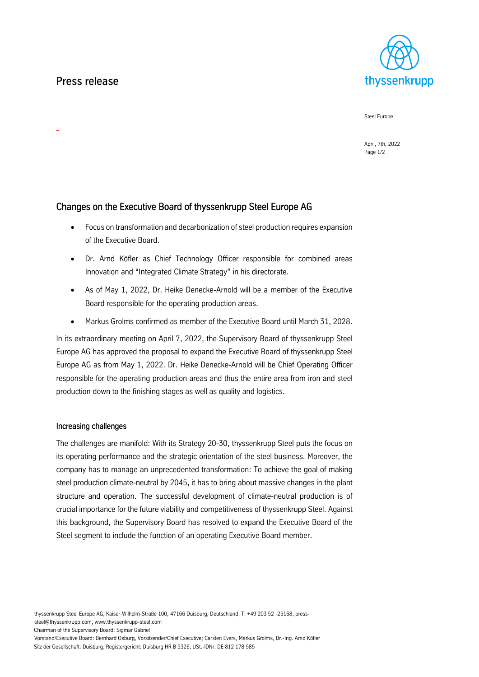# Press release

-



Steel Europe

April, 7th, 2022 Page 1/2

## Changes on the Executive Board of thyssenkrupp Steel Europe AG

- Focus on transformation and decarbonization of steel production requires expansion of the Executive Board.
- Dr. Arnd Köfler as Chief Technology Officer responsible for combined areas Innovation and "Integrated Climate Strategy" in his directorate.
- As of May 1, 2022, Dr. Heike Denecke-Arnold will be a member of the Executive Board responsible for the operating production areas.
- Markus Grolms confirmed as member of the Executive Board until March 31, 2028.

In its extraordinary meeting on April 7, 2022, the Supervisory Board of thyssenkrupp Steel Europe AG has approved the proposal to expand the Executive Board of thyssenkrupp Steel Europe AG as from May 1, 2022. Dr. Heike Denecke-Arnold will be Chief Operating Officer responsible for the operating production areas and thus the entire area from iron and steel production down to the finishing stages as well as quality and logistics.

### Increasing challenges

The challenges are manifold: With its Strategy 20-30, thyssenkrupp Steel puts the focus on its operating performance and the strategic orientation of the steel business. Moreover, the company has to manage an unprecedented transformation: To achieve the goal of making steel production climate-neutral by 2045, it has to bring about massive changes in the plant structure and operation. The successful development of climate-neutral production is of crucial importance for the future viability and competitiveness of thyssenkrupp Steel. Against this background, the Supervisory Board has resolved to expand the Executive Board of the Steel segment to include the function of an operating Executive Board member.

thyssenkrupp Steel Europe AG, Kaiser-Wilhelm-Straße 100, 47166 Duisburg, Deutschland, T: +49 203 52 -25168, presssteel@thyssenkrupp.com, www.thyssenkrupp-steel.com

Chairman of the Supervisory Board: Sigmar Gabriel

Vorstand/Executive Board: Bernhard Osburg, Vorsitzender/Chief Executive; Carsten Evers, Markus Grolms, Dr.-Ing. Arnd Köfler Sitz der Gesellschaft: Duisburg, Registergericht: Duisburg HR B 9326, USt.-IDNr. DE 812 178 585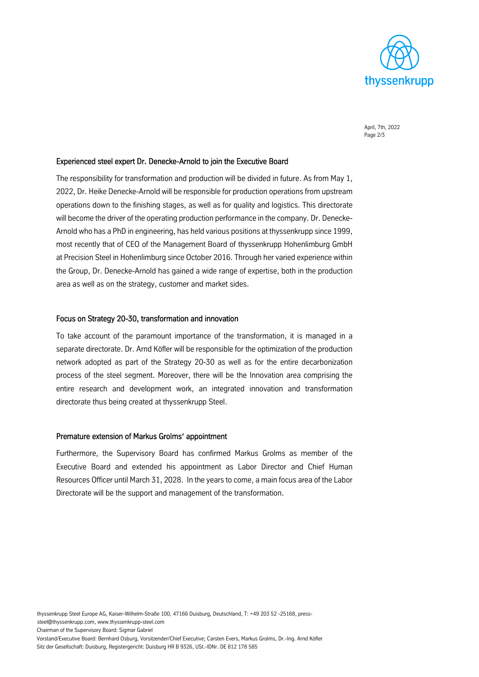

April, 7th, 2022 Page 2/3

#### Experienced steel expert Dr. Denecke-Arnold to join the Executive Board

The responsibility for transformation and production will be divided in future. As from May 1, 2022, Dr. Heike Denecke-Arnold will be responsible for production operations from upstream operations down to the finishing stages, as well as for quality and logistics. This directorate will become the driver of the operating production performance in the company. Dr. Denecke-Arnold who has a PhD in engineering, has held various positions at thyssenkrupp since 1999, most recently that of CEO of the Management Board of thyssenkrupp Hohenlimburg GmbH at Precision Steel in Hohenlimburg since October 2016. Through her varied experience within the Group, Dr. Denecke-Arnold has gained a wide range of expertise, both in the production area as well as on the strategy, customer and market sides.

#### Focus on Strategy 20-30, transformation and innovation

To take account of the paramount importance of the transformation, it is managed in a separate directorate. Dr. Arnd Köfler will be responsible for the optimization of the production network adopted as part of the Strategy 20-30 as well as for the entire decarbonization process of the steel segment. Moreover, there will be the Innovation area comprising the entire research and development work, an integrated innovation and transformation directorate thus being created at thyssenkrupp Steel.

#### Premature extension of Markus Grolms' appointment

Furthermore, the Supervisory Board has confirmed Markus Grolms as member of the Executive Board and extended his appointment as Labor Director and Chief Human Resources Officer until March 31, 2028. In the years to come, a main focus area of the Labor Directorate will be the support and management of the transformation.

Vorstand/Executive Board: Bernhard Osburg, Vorsitzender/Chief Executive; Carsten Evers, Markus Grolms, Dr.-Ing. Arnd Köfler Sitz der Gesellschaft: Duisburg, Registergericht: Duisburg HR B 9326, USt.-IDNr. DE 812 178 585